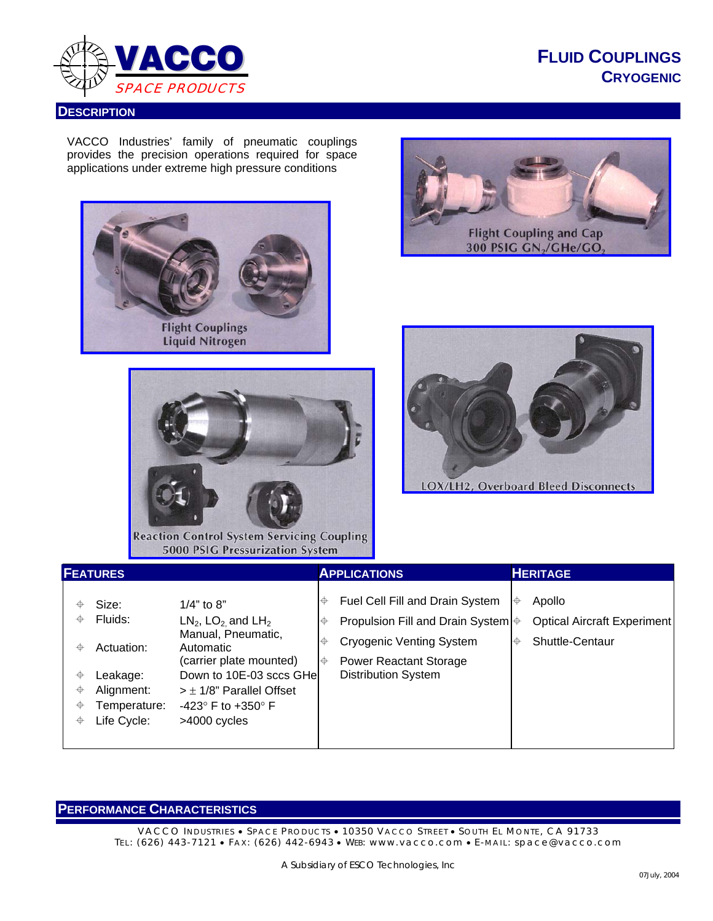

## **DESCRIPTION**

**FLUID COUPLINGS CRYOGENIC**

VACCO Industries' family of pneumatic couplings provides the precision operations required for space applications under extreme high pressure conditions









**Reaction Control System Servicing Coupling** 5000 PSIG Pressurization System

| <b>FEATURES</b>                                                                                                                                                                                                                                                                                                                                                                                  | <b>APPLICATIONS</b>                                                                                                                                                                               | <b>HERITAGE</b>                                                    |
|--------------------------------------------------------------------------------------------------------------------------------------------------------------------------------------------------------------------------------------------------------------------------------------------------------------------------------------------------------------------------------------------------|---------------------------------------------------------------------------------------------------------------------------------------------------------------------------------------------------|--------------------------------------------------------------------|
| $1/4"$ to $8"$<br>Size:<br>Fluids:<br>$LN2$ , LO <sub>2</sub> and LH <sub>2</sub><br>⊕<br>Manual, Pneumatic,<br>Actuation:<br>Automatic<br>⊕<br>(carrier plate mounted)<br>Down to 10E-03 sccs GHel<br>⊕<br>Leakage:<br>Alignment:<br>♦<br>$>$ $\pm$ 1/8" Parallel Offset<br>Temperature:<br>♦<br>-423° F to +350° F<br>Life Cycle:<br>$\color{red} \color{black} \blacklozenge$<br>>4000 cycles | Fuel Cell Fill and Drain System<br>∣⊕<br>Propulsion Fill and Drain System $\bigoplus$<br>∣⊕<br>Cryogenic Venting System<br>⊕<br><b>Power Reactant Storage</b><br>∣⊕<br><b>Distribution System</b> | Apollo<br>⊕<br>Optical Aircraft Experiment<br>Shuttle-Centaur<br>⊕ |

## **PERFORMANCE CHARACTERISTICS**

VACCO INDUSTRIES · SPACE PRODUCTS · 10350 VACCO STREET · SOUTH EL MONTE, CA 91733 TEL: (626) 443-7121 • FAX: (626) 442-6943 • WEB: www.vacco.com • E-MAIL: space@vacco.com